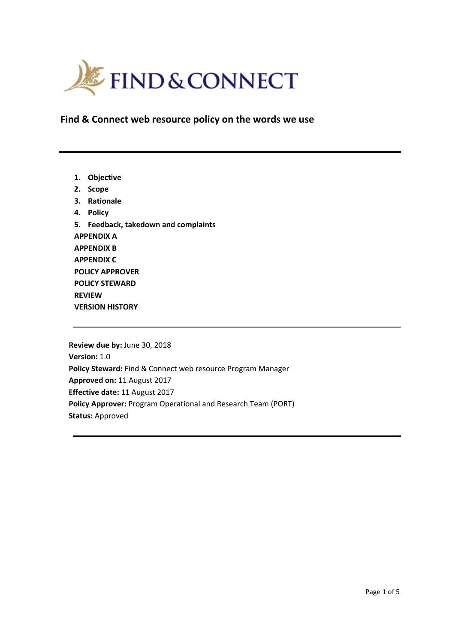

**Find & Connect web resource policy on the words we use**

**1. Objective 2. Scope 3. Rationale 4. Policy 5. Feedback, takedown and complaints APPENDIX A APPENDIX B APPENDIX C POLICY APPROVER POLICY STEWARD REVIEW VERSION HISTORY**

**Review due by:** June 30, 2018 **Version:** 1.0 **Policy Steward:** Find & Connect web resource Program Manager **Approved on:** 11 August 2017 **Effective date:** 11 August 2017 **Policy Approver:** Program Operational and Research Team (PORT) **Status:** Approved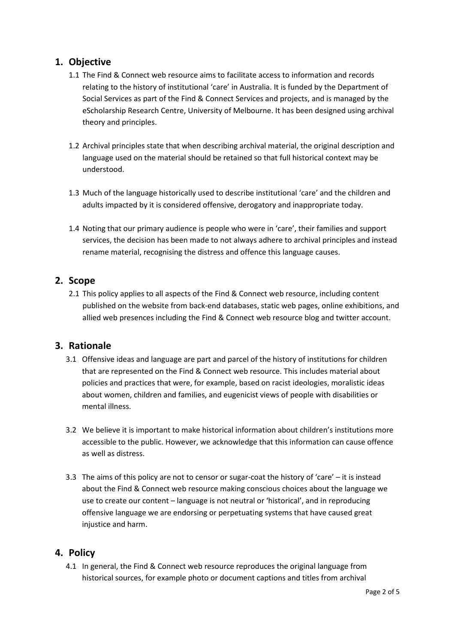# **1. Objective**

- 1.1 The Find & Connect web resource aims to facilitate access to information and records relating to the history of institutional 'care' in Australia. It is funded by the Department of Social Services as part of the Find & Connect Services and projects, and is managed by the eScholarship Research Centre, University of Melbourne. It has been designed using archival theory and principles.
- 1.2 Archival principles state that when describing archival material, the original description and language used on the material should be retained so that full historical context may be understood.
- 1.3 Much of the language historically used to describe institutional 'care' and the children and adults impacted by it is considered offensive, derogatory and inappropriate today.
- 1.4 Noting that our primary audience is people who were in 'care', their families and support services, the decision has been made to not always adhere to archival principles and instead rename material, recognising the distress and offence this language causes.

# **2. Scope**

2.1 This policy applies to all aspects of the Find & Connect web resource, including content published on the website from back-end databases, static web pages, online exhibitions, and allied web presences including the Find & Connect web resource blog and twitter account.

#### **3. Rationale**

- 3.1 Offensive ideas and language are part and parcel of the history of institutions for children that are represented on the Find & Connect web resource. This includes material about policies and practices that were, for example, based on racist ideologies, moralistic ideas about women, children and families, and eugenicist views of people with disabilities or mental illness.
- 3.2 We believe it is important to make historical information about children's institutions more accessible to the public. However, we acknowledge that this information can cause offence as well as distress.
- 3.3 The aims of this policy are not to censor or sugar-coat the history of 'care' it is instead about the Find & Connect web resource making conscious choices about the language we use to create our content – language is not neutral or 'historical', and in reproducing offensive language we are endorsing or perpetuating systems that have caused great injustice and harm.

#### **4. Policy**

4.1 In general, the Find & Connect web resource reproduces the original language from historical sources, for example photo or document captions and titles from archival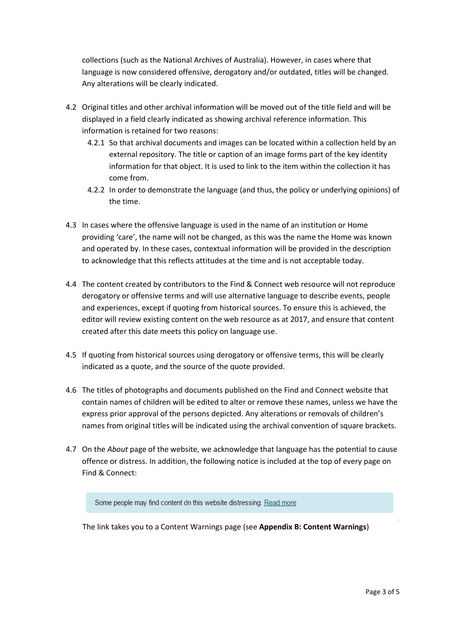collections (such as the National Archives of Australia). However, in cases where that language is now considered offensive, derogatory and/or outdated, titles will be changed. Any alterations will be clearly indicated.

- 4.2 Original titles and other archival information will be moved out of the title field and will be displayed in a field clearly indicated as showing archival reference information. This information is retained for two reasons:
	- 4.2.1 So that archival documents and images can be located within a collection held by an external repository. The title or caption of an image forms part of the key identity information for that object. It is used to link to the item within the collection it has come from.
	- 4.2.2 In order to demonstrate the language (and thus, the policy or underlying opinions) of the time.
- 4.3 In cases where the offensive language is used in the name of an institution or Home providing 'care', the name will not be changed, as this was the name the Home was known and operated by. In these cases, contextual information will be provided in the description to acknowledge that this reflects attitudes at the time and is not acceptable today.
- 4.4 The content created by contributors to the Find & Connect web resource will not reproduce derogatory or offensive terms and will use alternative language to describe events, people and experiences, except if quoting from historical sources. To ensure this is achieved, the editor will review existing content on the web resource as at 2017, and ensure that content created after this date meets this policy on language use.
- 4.5 If quoting from historical sources using derogatory or offensive terms, this will be clearly indicated as a quote, and the source of the quote provided.
- 4.6 The titles of photographs and documents published on the Find and Connect website that contain names of children will be edited to alter or remove these names, unless we have the express prior approval of the persons depicted. Any alterations or removals of children's names from original titles will be indicated using the archival convention of square brackets.
- 4.7 On the *About* page of the website, we acknowledge that language has the potential to cause offence or distress. In addition, the following notice is included at the top of every page on Find & Connect:

Some people may find content on this website distressing. Read more

The link takes you to a Content Warnings page (see **Appendix B: Content Warnings**)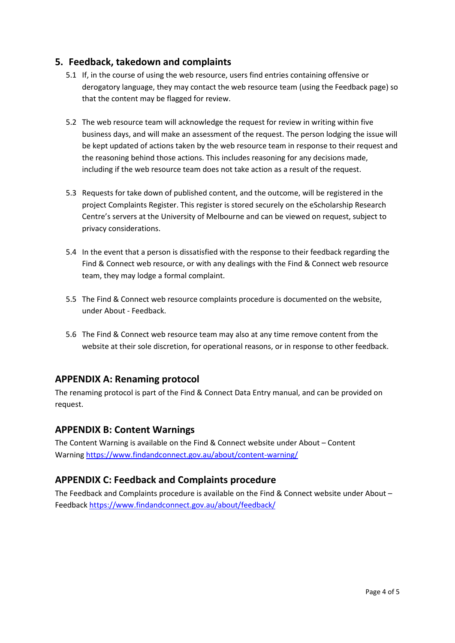## **5. Feedback, takedown and complaints**

- 5.1 If, in the course of using the web resource, users find entries containing offensive or derogatory language, they may contact the web resource team (using the Feedback page) so that the content may be flagged for review.
- 5.2 The web resource team will acknowledge the request for review in writing within five business days, and will make an assessment of the request. The person lodging the issue will be kept updated of actions taken by the web resource team in response to their request and the reasoning behind those actions. This includes reasoning for any decisions made, including if the web resource team does not take action as a result of the request.
- 5.3 Requests for take down of published content, and the outcome, will be registered in the project Complaints Register. This register is stored securely on the eScholarship Research Centre's servers at the University of Melbourne and can be viewed on request, subject to privacy considerations.
- 5.4 In the event that a person is dissatisfied with the response to their feedback regarding the Find & Connect web resource, or with any dealings with the Find & Connect web resource team, they may lodge a formal complaint.
- 5.5 The Find & Connect web resource complaints procedure is documented on the website, under About - Feedback.
- 5.6 The Find & Connect web resource team may also at any time remove content from the website at their sole discretion, for operational reasons, or in response to other feedback.

#### **APPENDIX A: Renaming protocol**

The renaming protocol is part of the Find & Connect Data Entry manual, and can be provided on request.

#### **APPENDIX B: Content Warnings**

The Content Warning is available on the Find & Connect website under About – Content Warnin[g https://www.findandconnect.gov.au/about/content-warning/](https://www.findandconnect.gov.au/about/content-warning/)

#### **APPENDIX C: Feedback and Complaints procedure**

The Feedback and Complaints procedure is available on the Find & Connect website under About – Feedback<https://www.findandconnect.gov.au/about/feedback/>